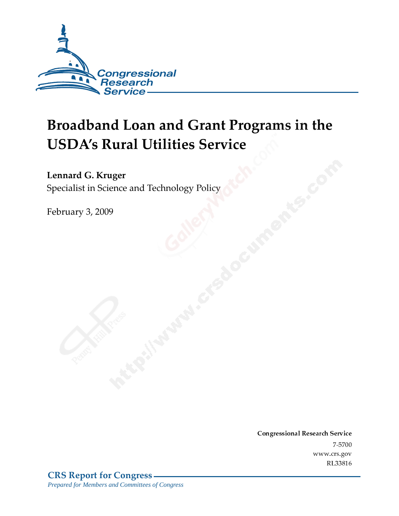

# Broadband Loan and Grant Programs in the **USDA's Rural Utilities Service**

#### Lennard G. Kruger

Specialist in Science and Technology Policy

February 3, 2009

Conglessional Research Service -7-5700 www.crs.gov RL33816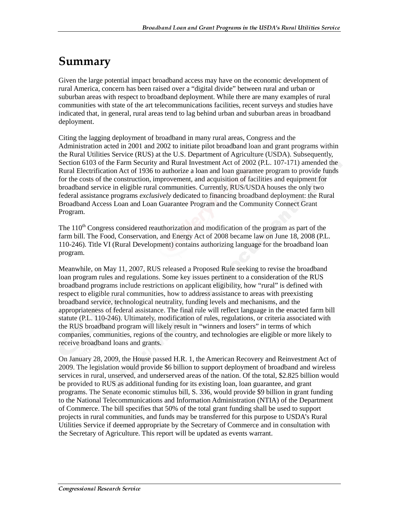## Summary

Given the large potential impact broadband access may have on the economic development of rural America, concern has been raised over a "digital divide" between rural and urban or suburban areas with respect to broadband deployment. While there are many examples of rural communities with state of the art telecommunications facilities, recent surveys and studies have indicated that, in general, rural areas tend to lag behind urban and suburban areas in broadband deployment.

Citing the lagging deployment of broadband in many rural areas, Congress and the Administration acted in 2001 and 2002 to initiate pilot broadband loan and grant programs within the Rural Utilities Service (RUS) at the U.S. Department of Agriculture (USDA). Subsequently, Section 6103 of the Farm Security and Rural Investment Act of 2002 (P.L. 107-171) amended the Rural Electrification Act of 1936 to authorize a loan and loan guarantee program to provide funds for the costs of the construction, improvement, and acquisition of facilities and equipment for broadband service in eligible rural communities. Currently, RUS/USDA houses the only two federal assistance programs *exclusively* dedicated to financing broadband deployment: the Rural Broadband Access Loan and Loan Guarantee Program and the Community Connect Grant Program.

The 110<sup>th</sup> Congress considered reauthorization and modification of the program as part of the farm bill. The Food, Conservation, and Energy Act of 2008 became law on June 18, 2008 (P.L. 110-246). Title VI (Rural Development) contains authorizing language for the broadband loan program.

Meanwhile, on May 11, 2007, RUS released a Proposed Rule seeking to revise the broadband loan program rules and regulations. Some key issues pertinent to a consideration of the RUS broadband programs include restrictions on applicant eligibility, how "rural" is defined with respect to eligible rural communities, how to address assistance to areas with preexisting broadband service, technological neutrality, funding levels and mechanisms, and the appropriateness of federal assistance. The final rule will reflect language in the enacted farm bill statute (P.L. 110-246). Ultimately, modification of rules, regulations, or criteria associated with the RUS broadband program will likely result in "winners and losers" in terms of which companies, communities, regions of the country, and technologies are eligible or more likely to receive broadband loans and grants.

On January 28, 2009, the House passed H.R. 1, the American Recovery and Reinvestment Act of 2009. The legislation would provide \$6 billion to support deployment of broadband and wireless services in rural, unserved, and underserved areas of the nation. Of the total, \$2.825 billion would be provided to RUS as additional funding for its existing loan, loan guarantee, and grant programs. The Senate economic stimulus bill, S. 336, would provide \$9 billion in grant funding to the National Telecommunications and Information Administration (NTIA) of the Department of Commerce. The bill specifies that 50% of the total grant funding shall be used to support projects in rural communities, and funds may be transferred for this purpose to USDA's Rural Utilities Service if deemed appropriate by the Secretary of Commerce and in consultation with the Secretary of Agriculture. This report will be updated as events warrant.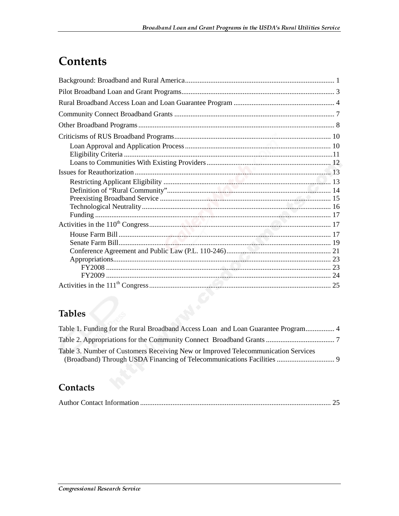## **Contents**

# Tables

| Table 1. Funding for the Rural Broadband Access Loan and Loan Guarantee Program 4 |  |
|-----------------------------------------------------------------------------------|--|
|                                                                                   |  |
| Table 3. Number of Customers Receiving New or Improved Telecommunication Services |  |

### Contacts

|--|--|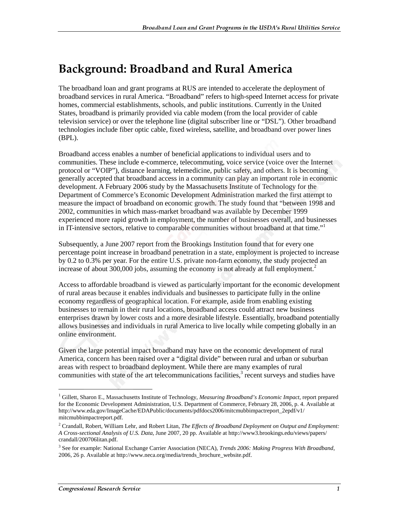## Background: Broadband and Rural America

The broadband loan and grant programs at RUS are intended to accelerate the deployment of broadband services in rural America. "Broadband" refers to high-speed Internet access for private homes, commercial establishments, schools, and public institutions. Currently in the United States, broadband is primarily provided via cable modem (from the local provider of cable television service) or over the telephone line (digital subscriber line or "DSL"). Other broadband technologies include fiber optic cable, fixed wireless, satellite, and broadband over power lines (BPL).

Broadband access enables a number of beneficial applications to individual users and to communities. These include e-commerce, telecommuting, voice service (voice over the Internet protocol or "VOIP"), distance learning, telemedicine, public safety, and others. It is becoming generally accepted that broadband access in a community can play an important role in economic development. A February 2006 study by the Massachusetts Institute of Technology for the Department of Commerce's Economic Development Administration marked the first attempt to measure the impact of broadband on economic growth. The study found that "between 1998 and 2002, communities in which mass-market broadband was available by December 1999 experienced more rapid growth in employment, the number of businesses overall, and businesses in IT-intensive sectors, relative to comparable communities without broadband at that time." $\frac{1}{1}$ 

Subsequently, a June 2007 report from the Brookings Institution found that for every one percentage point increase in broadband penetration in a state, employment is projected to increase by 0.2 to 0.3% per year. For the entire U.S. private non-farm economy, the study projected an increase of about 300,000 jobs, assuming the economy is not already at full employment.<sup>2</sup>

Access to affordable broadband is viewed as particularly important for the economic development of rural areas because it enables individuals and businesses to participate fully in the online economy regardless of geographical location. For example, aside from enabling existing businesses to remain in their rural locations, broadband access could attract new business enterprises drawn by lower costs and a more desirable lifestyle. Essentially, broadband potentially allows businesses and individuals in rural America to live locally while competing globally in an online environment.

Given the large potential impact broadband may have on the economic development of rural America, concern has been raised over a "digital divide" between rural and urban or suburban areas with respect to broadband deployment. While there are many examples of rural communities with state of the art telecommunications facilities, $3$  recent surveys and studies have

 $\overline{a}$ 

<sup>1</sup> Gillett, Sharon E., Massachusetts Institute of Technology, *Measuring Broadband's Economic Impact*, report prepared for the Economic Development Administration, U.S. Department of Commerce, February 28, 2006, p. 4. Available at http://www.eda.gov/ImageCache/EDAPublic/documents/pdfdocs2006/mitcmubbimpactreport\_2epdf/v1/ mitcmubbimpactreport.pdf.

<sup>2</sup> Crandall, Robert, William Lehr, and Robert Litan, *The Effects of Broadband Deployment on Output and Employment: A Cross-sectional Analysis of U.S. Data*, June 2007, 20 pp. Available at http://www3.brookings.edu/views/papers/ crandall/200706litan.pdf.

<sup>3</sup> See for example: National Exchange Carrier Association (NECA), *Trends 2006: Making Progress With Broadband*, 2006, 26 p. Available at http://www.neca.org/media/trends\_brochure\_website.pdf.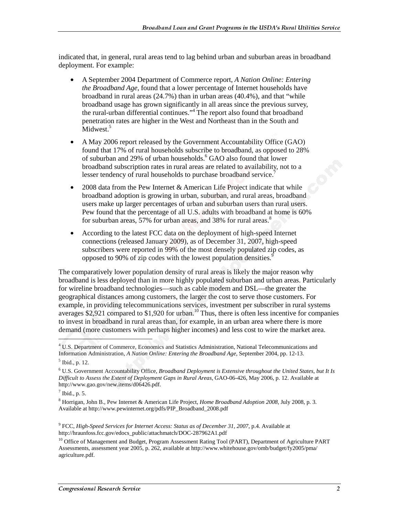indicated that, in general, rural areas tend to lag behind urban and suburban areas in broadband deployment. For example:

- A September 2004 Department of Commerce report, *A Nation Online: Entering the Broadband Age*, found that a lower percentage of Internet households have broadband in rural areas (24.7%) than in urban areas (40.4%), and that "while broadband usage has grown significantly in all areas since the previous survey, the rural-urban differential continues."<sup>4</sup> The report also found that broadband penetration rates are higher in the West and Northeast than in the South and Midwest.<sup>5</sup>
- A May 2006 report released by the Government Accountability Office (GAO) found that 17% of rural households subscribe to broadband, as opposed to 28% of suburban and 29% of urban households.<sup>6</sup> GAO also found that lower broadband subscription rates in rural areas are related to availability, not to a lesser tendency of rural households to purchase broadband service.<sup>7</sup>
- 2008 data from the Pew Internet & American Life Project indicate that while broadband adoption is growing in urban, suburban, and rural areas, broadband users make up larger percentages of urban and suburban users than rural users. Pew found that the percentage of all U.S. adults with broadband at home is 60% for suburban areas, 57% for urban areas, and 38% for rural areas.<sup>8</sup>
- According to the latest FCC data on the deployment of high-speed Internet connections (released January 2009), as of December 31, 2007, high-speed subscribers were reported in 99% of the most densely populated zip codes, as opposed to 90% of zip codes with the lowest population densities.<sup>9</sup>

The comparatively lower population density of rural areas is likely the major reason why broadband is less deployed than in more highly populated suburban and urban areas. Particularly for wireline broadband technologies—such as cable modem and DSL—the greater the geographical distances among customers, the larger the cost to serve those customers. For example, in providing telecommunications services, investment per subscriber in rural systems averages  $$2,921$  compared to  $$1,920$  for urban.<sup>10</sup> Thus, there is often less incentive for companies to invest in broadband in rural areas than, for example, in an urban area where there is more demand (more customers with perhaps higher incomes) and less cost to wire the market area.

1

<sup>4</sup> U.S. Department of Commerce, Economics and Statistics Administration, National Telecommunications and Information Administration, *A Nation Online: Entering the Broadband Age*, September 2004, pp. 12-13.

<sup>5</sup> Ibid., p. 12.

<sup>6</sup> U.S. Government Accountability Office, *Broadband Deployment is Extensive throughout the United States, but It Is Difficult to Assess the Extent of Deployment Gaps in Rural Areas*, GAO-06-426, May 2006, p. 12. Available at http://www.gao.gov/new.items/d06426.pdf.

 $<sup>7</sup>$  Ibid., p. 5.</sup>

<sup>8</sup> Horrigan, John B., Pew Internet & American Life Project, *Home Broadband Adoption 2008,* July 2008, p. 3. Available at http://www.pewinternet.org/pdfs/PIP\_Broadband\_2008.pdf

<sup>9</sup> FCC, *High-Speed Services for Internet Access: Status as of December 31, 2007,* p.4. Available at http://hraunfoss.fcc.gov/edocs\_public/attachmatch/DOC-287962A1.pdf

<sup>&</sup>lt;sup>10</sup> Office of Management and Budget, Program Assessment Rating Tool (PART), Department of Agriculture PART Assessments, assessment year 2005, p. 262, available at http://www.whitehouse.gov/omb/budget/fy2005/pma/ agriculture.pdf.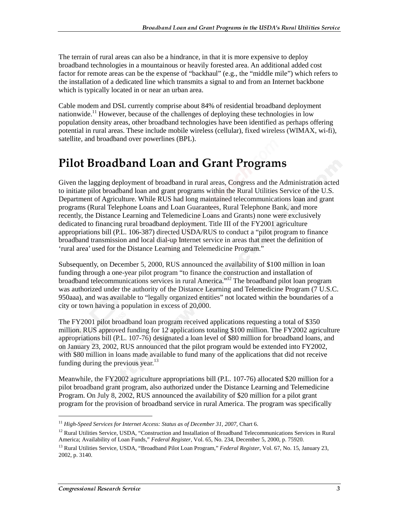The terrain of rural areas can also be a hindrance, in that it is more expensive to deploy broadband technologies in a mountainous or heavily forested area. An additional added cost factor for remote areas can be the expense of "backhaul" (e.g., the "middle mile") which refers to the installation of a dedicated line which transmits a signal to and from an Internet backbone which is typically located in or near an urban area.

Cable modem and DSL currently comprise about 84% of residential broadband deployment nationwide.<sup>11</sup> However, because of the challenges of deploying these technologies in low population density areas, other broadband technologies have been identified as perhaps offering potential in rural areas. These include mobile wireless (cellular), fixed wireless (WIMAX, wi-fi), satellite, and broadband over powerlines (BPL).

## **Pilot Broadband Loan and Grant Programs**

Given the lagging deployment of broadband in rural areas, Congress and the Administration acted to initiate pilot broadband loan and grant programs within the Rural Utilities Service of the U.S. Department of Agriculture. While RUS had long maintained telecommunications loan and grant programs (Rural Telephone Loans and Loan Guarantees, Rural Telephone Bank, and more recently, the Distance Learning and Telemedicine Loans and Grants) none were exclusively dedicated to financing rural broadband deployment. Title III of the FY2001 agriculture appropriations bill (P.L. 106-387) directed USDA/RUS to conduct a "pilot program to finance broadband transmission and local dial-up Internet service in areas that meet the definition of 'rural area' used for the Distance Learning and Telemedicine Program."

Subsequently, on December 5, 2000, RUS announced the availability of \$100 million in loan funding through a one-year pilot program "to finance the construction and installation of broadband telecommunications services in rural America."12 The broadband pilot loan program was authorized under the authority of the Distance Learning and Telemedicine Program (7 U.S.C. 950aaa), and was available to "legally organized entities" not located within the boundaries of a city or town having a population in excess of 20,000.

The FY2001 pilot broadband loan program received applications requesting a total of \$350 million. RUS approved funding for 12 applications totaling \$100 million. The FY2002 agriculture appropriations bill (P.L. 107-76) designated a loan level of \$80 million for broadband loans, and on January 23, 2002, RUS announced that the pilot program would be extended into FY2002, with \$80 million in loans made available to fund many of the applications that did not receive funding during the previous year. $^{13}$ 

Meanwhile, the FY2002 agriculture appropriations bill (P.L. 107-76) allocated \$20 million for a pilot broadband grant program, also authorized under the Distance Learning and Telemedicine Program. On July 8, 2002, RUS announced the availability of \$20 million for a pilot grant program for the provision of broadband service in rural America. The program was specifically

<sup>11</sup> *High-Speed Services for Internet Access: Status as of December 31, 2007,* Chart 6.

 $12$  Rural Utilities Service, USDA, "Construction and Installation of Broadband Telecommunications Services in Rural America; Availability of Loan Funds," *Federal Register*, Vol. 65, No. 234, December 5, 2000, p. 75920.

<sup>13</sup> Rural Utilities Service, USDA, "Broadband Pilot Loan Program," *Federal Register*, Vol. 67, No. 15, January 23, 2002, p. 3140.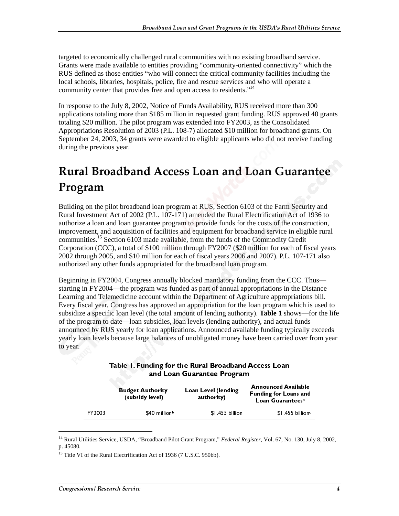targeted to economically challenged rural communities with no existing broadband service. Grants were made available to entities providing "community-oriented connectivity" which the RUS defined as those entities "who will connect the critical community facilities including the local schools, libraries, hospitals, police, fire and rescue services and who will operate a community center that provides free and open access to residents."<sup>14</sup>

In response to the July 8, 2002, Notice of Funds Availability, RUS received more than 300 applications totaling more than \$185 million in requested grant funding. RUS approved 40 grants totaling \$20 million. The pilot program was extended into FY2003, as the Consolidated Appropriations Resolution of 2003 (P.L. 108-7) allocated \$10 million for broadband grants. On September 24, 2003, 34 grants were awarded to eligible applicants who did not receive funding during the previous year.

## **Rural Broadband Access Loan and Loan Guarantee** Program

Building on the pilot broadband loan program at RUS, Section 6103 of the Farm Security and Rural Investment Act of 2002 (P.L. 107-171) amended the Rural Electrification Act of 1936 to authorize a loan and loan guarantee program to provide funds for the costs of the construction, improvement, and acquisition of facilities and equipment for broadband service in eligible rural communities.15 Section 6103 made available, from the funds of the Commodity Credit Corporation (CCC), a total of \$100 million through FY2007 (\$20 million for each of fiscal years 2002 through 2005, and \$10 million for each of fiscal years 2006 and 2007). P.L. 107-171 also authorized any other funds appropriated for the broadband loan program.

Beginning in FY2004, Congress annually blocked mandatory funding from the CCC. Thus starting in FY2004—the program was funded as part of annual appropriations in the Distance Learning and Telemedicine account within the Department of Agriculture appropriations bill. Every fiscal year, Congress has approved an appropriation for the loan program which is used to subsidize a specific loan level (the total amount of lending authority). **Table 1** shows—for the life of the program to date—loan subsidies, loan levels (lending authority), and actual funds announced by RUS yearly for loan applications. Announced available funding typically exceeds yearly loan levels because large balances of unobligated money have been carried over from year to year.

|  | Table 1. Funding for the Rural Broadband Access Loan |                            |  |  |  |
|--|------------------------------------------------------|----------------------------|--|--|--|
|  |                                                      | and Loan Guarantee Program |  |  |  |
|  |                                                      |                            |  |  |  |

|        | <b>Budget Authority</b><br>(subsidy level) | Loan Level (lending<br>authority) | <b>Announced Available</b><br><b>Funding for Loans and</b><br>Loan Guarantees <sup>a</sup> |
|--------|--------------------------------------------|-----------------------------------|--------------------------------------------------------------------------------------------|
| FY2003 | \$40 million <sup>b</sup>                  | \$1.455 billion                   | $$1.455$ billions                                                                          |

<sup>14</sup> Rural Utilities Service, USDA, "Broadband Pilot Grant Program," *Federal Register*, Vol. 67, No. 130, July 8, 2002, p. 45080.

<sup>&</sup>lt;sup>15</sup> Title VI of the Rural Electrification Act of 1936 (7 U.S.C. 950bb).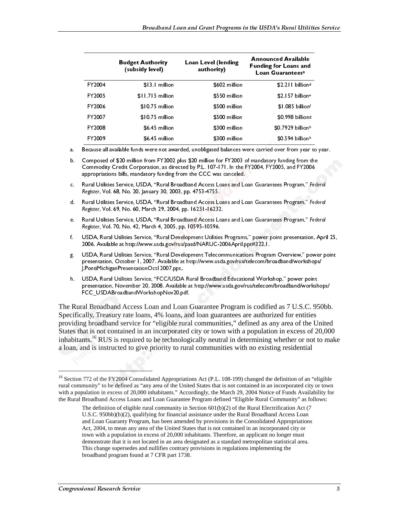|        | <b>Budget Authority</b><br>(subsidy level) | Loan Level (lending<br>authority) | <b>Announced Available</b><br><b>Funding for Loans and</b><br>Loan Guarantees <sup>a</sup> |
|--------|--------------------------------------------|-----------------------------------|--------------------------------------------------------------------------------------------|
| FY2004 | \$13.1 million                             | \$602 million                     | \$2.211 billion <sup>d</sup>                                                               |
| FY2005 | \$11.715 million                           | \$550 million                     | $$2.157$ billion <sup>e</sup>                                                              |
| FY2006 | \$10.75 million                            | \$500 million                     | \$1.085 billionf                                                                           |
| FY2007 | \$10.75 million                            | \$500 million                     | \$0.998 billions                                                                           |
| FY2008 | \$6.45 million                             | \$300 million                     | $$0.7929$ billion <sup>h</sup>                                                             |
| FY2009 | \$6.45 million                             | \$300 million                     | $$0.594$ billionh                                                                          |
|        |                                            |                                   |                                                                                            |

a. Because all available funds were not awarded, unobligated balances were carried over from year to year.

- b. Composed of \$20 million from FY2002 plus \$20 million for FY2003 of mandatory funding from the Commodity Credit Corporation, as directed by P.L. 107-171. In the FY2004, FY2005, and FY2006 appropriations bills, mandatory funding from the CCC was canceled.
- c. Rural Utilities Service, USDA, "Rural Broadband Access Loans and Loan Guarantees Program," Federal Register, Vol. 68, No. 20, January 30, 2003, pp. 4753-4755.
- d. Rural Utilities Service, USDA, "Rural Broadband Access Loans and Loan Guarantees Program," Federal Register, Vol. 69, No. 60, March 29, 2004, pp. 16231-16232.
- Rural Utilities Service, USDA, "Rural Broadband Access Loans and Loan Guarantees Program," Federal e. . . Register, Vol. 70, No. 42, March 4, 2005, pp. 10595-10596.
- f. USDA, Rural Utilities Service, "Rural Development Utilities Programs," power point presentation, April 25, 2006. Available at http://www.usda.gov/rus/pasd/NARUC-2006April.ppt#322,1.
- g. USDA, Rural Utilities Service, "Rural Development Telecommunications Program Overview," power point presentation, October 1, 2007. Available at http://www.usda.gov/rus/telecom/broadband/workshops/ J.PontiMichiganPresentationOct12007.ppt..
- h. USDA, Rural Utilities Service, "FCC/USDA Rural Broadband Educational Workshop," power point presentation, November 20, 2008. Available at http://www.usda.gov/rus/telecom/broadband/workshops/ FCC\_USDABroadbandWorkshopNov20.pdf.

C. Rural Utilities Service, USDA, "Rural Broadband Access Loan and Loan Guarantees Program," Federal<br>
Rural Utilities Service, USDA, "Rural Foodband Access Loans and Loan Guarantees Program," Federal<br>
Rural Utilities Serv d. Rural Utilities Service, USDA, "Rural Broadband Access Loans and Loan Guarantees Program," Federal<br>Register, Vol. 69, No. 60, March 29, 2006, pp. 16231-16222<br>Rural Utilities Service, "Rural Districts Development Utiliti e. Rural Utilities Service, USDA, Theral Socialistics Service, The end Cuarantees Program, "Federal<br>
Register, Vol. 70, No. 42, March 4, 2005 pp. 10395-10396.<br>
USDA, Rural Utilities Service, "Rural Development Utilities C The Rural Broadband Access Loan and Loan Guarantee Program is codified as 7 U.S.C. 950bb. Specifically, Treasury rate loans, 4% loans, and loan guarantees are authorized for entities providing broadband service for "eligible rural communities," defined as any area of the United States that is not contained in an incorporated city or town with a population in excess of 20,000 inhabitants.<sup>16</sup> RUS is required to be technologically neutral in determining whether or not to make a loan, and is instructed to give priority to rural communities with no existing residential

<sup>&</sup>lt;sup>16</sup> Section 772 of the FY2004 Consolidated Appropriations Act (P.L. 108-199) changed the definition of an "eligible rural community" to be defined as "any area of the United States that is not contained in an incorporated city or town with a population in excess of 20,000 inhabitants." Accordingly, the March 29, 2004 Notice of Funds Availability for the Rural Broadband Access Loans and Loan Guarantee Program defined "Eligible Rural Community" as follows:

Register, Vol. 68, No. 20, January 30, 2003, pp. 4753-4755.<br>Rural Utilities Service, USDA, "Rural Broadband Access Les<br>Register, Vol. 69, No. 60, March 29, 2004, pp. 16231-16232<br>Rural Utilities Service, USDA, "Rural Broadb Register, Vol. 69, No. 60, March 29, 2004, pp. 16231-16232.<br>Register, Vol. 70, No. 42, March 4, 2005, pp. 16331-16232.<br>Register, Vol. 70, No. 42, March 4, 2005, pp. 10595-10596.<br>USDA, Rural Utilities Service, "Rural Broedb Register, Vol. 70, No. 42, March 4, 2005, pp. 10595-10596.<br>USDA, Rural Utilities Service, "Rural Development Utilities 1006. Available at http://www.usdagov/rus/pasd/NARUC-2<br>2006. Available at http://www.usdagov/rus/pasd/N The definition of eligible rural community in Section  $601(b)(2)$  of the Rural Electrification Act (7) U.S.C. 950bb)(b)(2), qualifying for financial assistance under the Rural Broadband Access Loan and Loan Guaranty Program, has been amended by provisions in the Consolidated Appropriations Act, 2004, to mean any area of the United States that is not contained in an incorporated city or town with a population in excess of 20,000 inhabitants. Therefore, an applicant no longer must demonstrate that it is not located in an area designated as a standard metropolitan statistical area. This change supersedes and nullifies contrary provisions in regulations implementing the broadband program found at 7 CFR part 1738.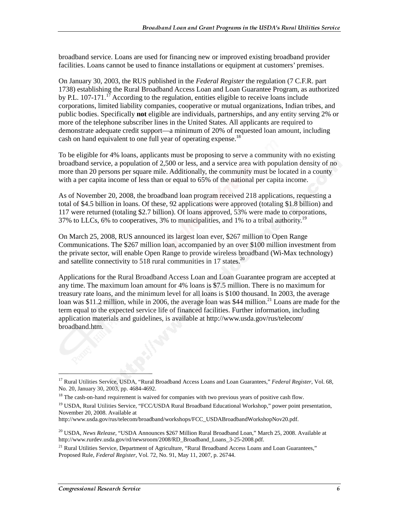broadband service. Loans are used for financing new or improved existing broadband provider facilities. Loans cannot be used to finance installations or equipment at customers' premises.

On January 30, 2003, the RUS published in the *Federal Register* the regulation (7 C.F.R. part 1738) establishing the Rural Broadband Access Loan and Loan Guarantee Program, as authorized by P.L. 107-171.<sup>17</sup> According to the regulation, entities eligible to receive loans include corporations, limited liability companies, cooperative or mutual organizations, Indian tribes, and public bodies. Specifically **not** eligible are individuals, partnerships, and any entity serving 2% or more of the telephone subscriber lines in the United States. All applicants are required to demonstrate adequate credit support—a minimum of 20% of requested loan amount, including cash on hand equivalent to one full year of operating expense.<sup>18</sup>

To be eligible for 4% loans, applicants must be proposing to serve a community with no existing broadband service, a population of 2,500 or less, and a service area with population density of no more than 20 persons per square mile. Additionally, the community must be located in a county with a per capita income of less than or equal to 65% of the national per capita income.

As of November 20, 2008, the broadband loan program received 218 applications, requesting a total of \$4.5 billion in loans. Of these, 92 applications were approved (totaling \$1.8 billion) and 117 were returned (totaling \$2.7 billion). Of loans approved, 53% were made to corporations, 37% to LLCs, 6% to cooperatives, 3% to municipalities, and 1% to a tribal authority.<sup>19</sup>

On March 25, 2008, RUS announced its largest loan ever, \$267 million to Open Range Communications. The \$267 million loan, accompanied by an over \$100 million investment from the private sector, will enable Open Range to provide wireless broadband (Wi-Max technology) and satellite connectivity to 518 rural communities in 17 states.<sup>20</sup>

Applications for the Rural Broadband Access Loan and Loan Guarantee program are accepted at any time. The maximum loan amount for 4% loans is \$7.5 million. There is no maximum for treasury rate loans, and the minimum level for all loans is \$100 thousand. In 2003, the average loan was \$11.2 million, while in 2006, the average loan was \$44 million.<sup>21</sup> Loans are made for the term equal to the expected service life of financed facilities. Further information, including application materials and guidelines, is available at http://www.usda.gov/rus/telecom/ broadband.htm.

 $\overline{a}$ 

<sup>17</sup> Rural Utilities Service, USDA, "Rural Broadband Access Loans and Loan Guarantees," *Federal Register*, Vol. 68, No. 20, January 30, 2003, pp. 4684-4692.

<sup>&</sup>lt;sup>18</sup> The cash-on-hand requirement is waived for companies with two previous years of positive cash flow.

<sup>&</sup>lt;sup>19</sup> USDA, Rural Utilities Service, "FCC/USDA Rural Broadband Educational Workshop," power point presentation, November 20, 2008. Available at

http://www.usda.gov/rus/telecom/broadband/workshops/FCC\_USDABroadbandWorkshopNov20.pdf.

<sup>20</sup> USDA, *News Release*, "USDA Announces \$267 Million Rural Broadband Loan," March 25, 2008. Available at http://www.rurdev.usda.gov/rd/newsroom/2008/RD\_Broadband\_Loans\_3-25-2008.pdf.

<sup>&</sup>lt;sup>21</sup> Rural Utilities Service, Department of Agriculture, "Rural Broadband Access Loans and Loan Guarantees," Proposed Rule, *Federal Register*, Vol. 72, No. 91, May 11, 2007, p. 26744.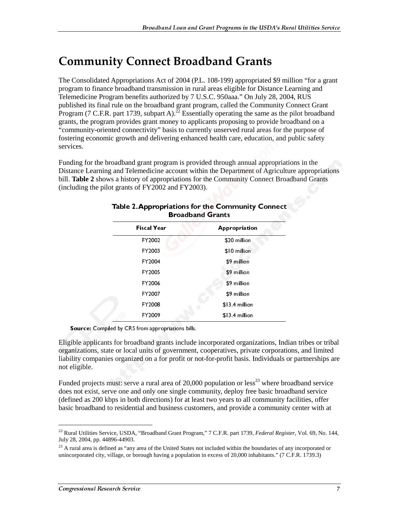## **Community Connect Broadband Grants**

The Consolidated Appropriations Act of 2004 (P.L. 108-199) appropriated \$9 million "for a grant program to finance broadband transmission in rural areas eligible for Distance Learning and Telemedicine Program benefits authorized by 7 U.S.C. 950aaa." On July 28, 2004, RUS published its final rule on the broadband grant program, called the Community Connect Grant Program (7 C.F.R. part 1739, subpart A).<sup>22</sup> Essentially operating the same as the pilot broadband grants, the program provides grant money to applicants proposing to provide broadband on a "community-oriented connectivity" basis to currently unserved rural areas for the purpose of fostering economic growth and delivering enhanced health care, education, and public safety services.

Funding for the broadband grant program is provided through annual appropriations in the Distance Learning and Telemedicine account within the Department of Agriculture appropriations bill. **Table 2** shows a history of appropriations for the Community Connect Broadband Grants (including the pilot grants of FY2002 and FY2003).

| <b>Broadband Grants</b> |                                      |                                                                                                                                                                                                                                                                                   |  |  |  |  |
|-------------------------|--------------------------------------|-----------------------------------------------------------------------------------------------------------------------------------------------------------------------------------------------------------------------------------------------------------------------------------|--|--|--|--|
|                         | Fiscal Year                          | Appropriation                                                                                                                                                                                                                                                                     |  |  |  |  |
|                         | FY2002                               | \$20 million                                                                                                                                                                                                                                                                      |  |  |  |  |
|                         | FY2003                               | \$10 million                                                                                                                                                                                                                                                                      |  |  |  |  |
|                         | FY2004                               | \$9 million                                                                                                                                                                                                                                                                       |  |  |  |  |
|                         | FY2005                               | \$9 million                                                                                                                                                                                                                                                                       |  |  |  |  |
|                         | FY2006                               | \$9 million                                                                                                                                                                                                                                                                       |  |  |  |  |
|                         | FY2007                               | \$9 million                                                                                                                                                                                                                                                                       |  |  |  |  |
|                         | FY2008                               | \$13.4 million                                                                                                                                                                                                                                                                    |  |  |  |  |
|                         | FY2009                               | \$13.4 million                                                                                                                                                                                                                                                                    |  |  |  |  |
|                         | ed by CRS from appropriations bills. |                                                                                                                                                                                                                                                                                   |  |  |  |  |
|                         |                                      | s for broadband grants include incorporated organizations, Indi<br>e or local units of government, cooperatives, private corporation<br>s organized on a for profit or not-for-profit basis. Individuals o<br>nust: serve a rural area of 20,000 population or $less23$ where bro |  |  |  |  |
|                         |                                      | ve one and only one single community, deploy free basic broad<br>ops in both directions) for at least two years to all community f<br>o residential and business customers, and provide a community                                                                               |  |  |  |  |
| 396-44903.              |                                      | ice, USDA, "Broadband Grant Program," 7 C.F.R. part 1739, Federal Regis.                                                                                                                                                                                                          |  |  |  |  |
|                         |                                      | ed as "any area of the United States not included within the boundaries of an<br>illage, or borough having a population in excess of 20,000 inhabitants." (7 C                                                                                                                    |  |  |  |  |
|                         |                                      |                                                                                                                                                                                                                                                                                   |  |  |  |  |
| arch Service            |                                      |                                                                                                                                                                                                                                                                                   |  |  |  |  |
|                         |                                      |                                                                                                                                                                                                                                                                                   |  |  |  |  |
|                         |                                      |                                                                                                                                                                                                                                                                                   |  |  |  |  |
|                         |                                      |                                                                                                                                                                                                                                                                                   |  |  |  |  |
|                         |                                      |                                                                                                                                                                                                                                                                                   |  |  |  |  |
|                         |                                      |                                                                                                                                                                                                                                                                                   |  |  |  |  |
|                         |                                      |                                                                                                                                                                                                                                                                                   |  |  |  |  |
|                         |                                      |                                                                                                                                                                                                                                                                                   |  |  |  |  |
|                         |                                      |                                                                                                                                                                                                                                                                                   |  |  |  |  |
|                         |                                      |                                                                                                                                                                                                                                                                                   |  |  |  |  |
|                         |                                      |                                                                                                                                                                                                                                                                                   |  |  |  |  |
|                         |                                      |                                                                                                                                                                                                                                                                                   |  |  |  |  |
|                         |                                      |                                                                                                                                                                                                                                                                                   |  |  |  |  |
|                         |                                      |                                                                                                                                                                                                                                                                                   |  |  |  |  |
|                         |                                      |                                                                                                                                                                                                                                                                                   |  |  |  |  |
|                         |                                      |                                                                                                                                                                                                                                                                                   |  |  |  |  |
|                         |                                      |                                                                                                                                                                                                                                                                                   |  |  |  |  |
|                         |                                      |                                                                                                                                                                                                                                                                                   |  |  |  |  |
|                         |                                      |                                                                                                                                                                                                                                                                                   |  |  |  |  |
|                         |                                      |                                                                                                                                                                                                                                                                                   |  |  |  |  |
|                         |                                      |                                                                                                                                                                                                                                                                                   |  |  |  |  |
|                         |                                      |                                                                                                                                                                                                                                                                                   |  |  |  |  |
|                         |                                      |                                                                                                                                                                                                                                                                                   |  |  |  |  |

Source: Compiled by CRS from appropriations bills.

Eligible applicants for broadband grants include incorporated organizations, Indian tribes or tribal organizations, state or local units of government, cooperatives, private corporations, and limited liability companies organized on a for profit or not-for-profit basis. Individuals or partnerships are not eligible.

Funded projects must: serve a rural area of 20,000 population or less<sup>23</sup> where broadband service does not exist, serve one and only one single community, deploy free basic broadband service (defined as 200 kbps in both directions) for at least two years to all community facilities, offer basic broadband to residential and business customers, and provide a community center with at

<sup>22</sup> Rural Utilities Service, USDA, "Broadband Grant Program," 7 C.F.R. part 1739, *Federal Register*, Vol. 69, No. 144, July 28, 2004, pp. 44896-44903.

 $23$  A rural area is defined as "any area of the United States not included within the boundaries of any incorporated or unincorporated city, village, or borough having a population in excess of 20,000 inhabitants." (7 C.F.R. 1739.3)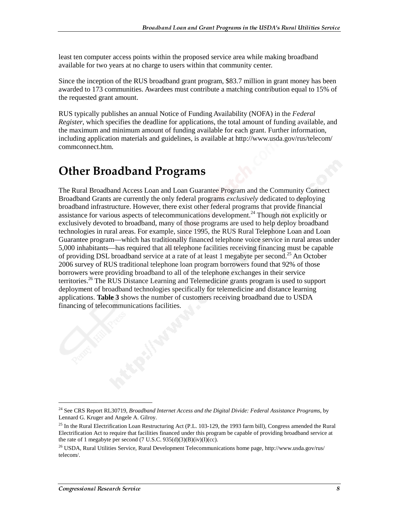least ten computer access points within the proposed service area while making broadband available for two years at no charge to users within that community center.

Since the inception of the RUS broadband grant program, \$83.7 million in grant money has been awarded to 173 communities. Awardees must contribute a matching contribution equal to 15% of the requested grant amount.

RUS typically publishes an annual Notice of Funding Availability (NOFA) in the *Federal Register*, which specifies the deadline for applications, the total amount of funding available, and the maximum and minimum amount of funding available for each grant. Further information, including application materials and guidelines, is available at http://www.usda.gov/rus/telecom/ commconnect.htm.

## **Other Broadband Programs**

The Rural Broadband Access Loan and Loan Guarantee Program and the Community Connect Broadband Grants are currently the only federal programs *exclusively* dedicated to deploying broadband infrastructure. However, there exist other federal programs that provide financial assistance for various aspects of telecommunications development.<sup>24</sup> Though not explicitly or exclusively devoted to broadband, many of those programs are used to help deploy broadband technologies in rural areas. For example, since 1995, the RUS Rural Telephone Loan and Loan Guarantee program—which has traditionally financed telephone voice service in rural areas under 5,000 inhabitants—has required that all telephone facilities receiving financing must be capable of providing DSL broadband service at a rate of at least 1 megabyte per second.<sup>25</sup> An October 2006 survey of RUS traditional telephone loan program borrowers found that 92% of those borrowers were providing broadband to all of the telephone exchanges in their service territories.<sup>26</sup> The RUS Distance Learning and Telemedicine grants program is used to support deployment of broadband technologies specifically for telemedicine and distance learning applications. **Table 3** shows the number of customers receiving broadband due to USDA financing of telecommunications facilities.

<sup>24</sup> See CRS Report RL30719, *Broadband Internet Access and the Digital Divide: Federal Assistance Programs*, by Lennard G. Kruger and Angele A. Gilroy.

<sup>&</sup>lt;sup>25</sup> In the Rural Electrification Loan Restructuring Act (P.L. 103-129, the 1993 farm bill), Congress amended the Rural Electrification Act to require that facilities financed under this program be capable of providing broadband service at the rate of 1 megabyte per second (7 U.S.C. 935(d)(3)(B)(iv)(I)(cc).

<sup>&</sup>lt;sup>26</sup> USDA, Rural Utilities Service, Rural Development Telecommunications home page, http://www.usda.gov/rus/ telecom/.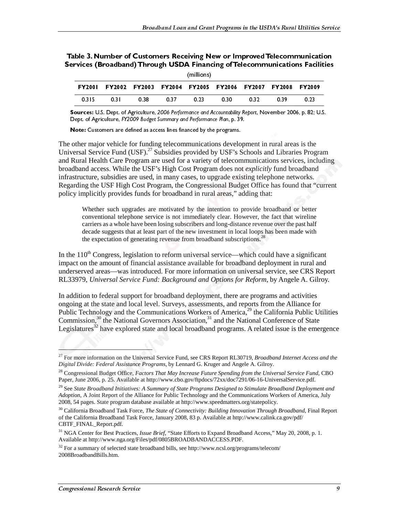| Table 3. Number of Customers Receiving New or Improved Telecommunication     |
|------------------------------------------------------------------------------|
| Services (Broadband) Through USDA Financing of Telecommunications Facilities |

| 11111101131 |      |      |                                                                |      |      |     |     |      |
|-------------|------|------|----------------------------------------------------------------|------|------|-----|-----|------|
|             |      |      | FY2001 FY2002 FY2003 FY2004 FY2005 FY2006 FY2007 FY2008 FY2009 |      |      |     |     |      |
| 0.315       | 0.31 | 0.38 | በ 37                                                           | 0.23 | 0.30 | 032 | 039 | 0.23 |

Sources: U.S. Dept. of Agriculture, 2006 Performance and Accountability Rebort, November 2006. p. 82: U.S. Dept. of Agriculture, FY2009 Budget Summary and Performance Plan, p. 39.

Note: Customers are defined as access lines financed by the programs.

other major vehicle for funding telecommunications develoversal Service Fund (USF).<sup>27</sup> Subsidies provided by USF's Subsidies more used for a variety of eleccommon terms and for a variety of eleccommon and substructure, s The other major vehicle for funding telecommunications development in rural areas is the Universal Service Fund (USF).<sup>27</sup> Subsidies provided by USF's Schools and Libraries Program and Rural Health Care Program are used for a variety of telecommunications services, including broadband access. While the USF's High Cost Program does not *explicitly* fund broadband infrastructure, subsidies are used, in many cases, to upgrade existing telephone networks. Regarding the USF High Cost Program, the Congressional Budget Office has found that "current policy implicitly provides funds for broadband in rural areas," adding that:

Whether such upgrades are motivated by the intention to provide broadband or better conventional telephone service is not immediately clear. However, the fact that wireline carriers as a whole have been losing subscribers and long-distance revenue over the past half decade suggests that at least part of the new investment in local loops has been made with the expectation of generating revenue from broadband subscriptions.<sup>28</sup>

In the  $110<sup>th</sup>$  Congress, legislation to reform universal service—which could have a significant impact on the amount of financial assistance available for broadband deployment in rural and underserved areas—was introduced. For more information on universal service, see CRS Report RL33979, *Universal Service Fund: Background and Options for Reform*, by Angele A. Gilroy.

In addition to federal support for broadband deployment, there are programs and activities ongoing at the state and local level. Surveys, assessments, and reports from the Alliance for Public Technology and the Communications Workers of America,<sup>29</sup> the California Public Utilities Commission, $30$  the National Governors Association, $31$  and the National Conference of State Legislatures<sup>32</sup> have explored state and local broadband programs. A related issue is the emergence

l

<sup>27</sup> For more information on the Universal Service Fund, see CRS Report RL30719, *Broadband Internet Access and the Digital Divide: Federal Assistance Programs*, by Lennard G. Kruger and Angele A. Gilroy.

<sup>28</sup> Congressional Budget Office, *Factors That May Increase Future Spending from the Universal Service Fund*, CBO Paper, June 2006, p. 25. Available at http://www.cbo.gov/ftpdocs/72xx/doc7291/06-16-UniversalService.pdf.

<sup>29</sup> See *State Broadband Initiatives: A Summary of State Programs Designed to Stimulate Broadband Deployment and Adoption*, A Joint Report of the Alliance for Public Technology and the Communications Workers of America, July 2008, 54 pages. State program database available at http://www.speedmatters.org/statepolicy.

<sup>30</sup> California Broadband Task Force, *The State of Connectivity: Building Innovation Through Broadband*, Final Report of the California Broadband Task Force, January 2008, 83 p. Available at http://www.calink.ca.gov/pdf/ CBTF\_FINAL\_Report.pdf.

<sup>31</sup> NGA Center for Best Practices, *Issue Brief*, "State Efforts to Expand Broadband Access," May 20, 2008, p. 1. Available at http://www.nga.org/Files/pdf/0805BROADBANDACCESS.PDF.

 $32$  For a summary of selected state broadband bills, see http://www.ncsl.org/programs/telecom/ 2008BroadbandBills.htm.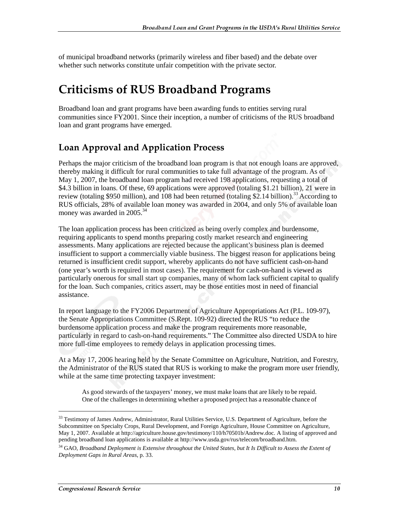of municipal broadband networks (primarily wireless and fiber based) and the debate over whether such networks constitute unfair competition with the private sector.

## **Criticisms of RUS Broadband Programs**

Broadband loan and grant programs have been awarding funds to entities serving rural communities since FY2001. Since their inception, a number of criticisms of the RUS broadband loan and grant programs have emerged.

#### **Loan Approval and Application Process**

Perhaps the major criticism of the broadband loan program is that not enough loans are approved, thereby making it difficult for rural communities to take full advantage of the program. As of May 1, 2007, the broadband loan program had received 198 applications, requesting a total of \$4.3 billion in loans. Of these, 69 applications were approved (totaling \$1.21 billion), 21 were in review (totaling \$950 million), and 108 had been returned (totaling \$2.14 billion).<sup>33</sup> According to RUS officials, 28% of available loan money was awarded in 2004, and only 5% of available loan money was awarded in 2005.<sup>34</sup>

The loan application process has been criticized as being overly complex and burdensome, requiring applicants to spend months preparing costly market research and engineering assessments. Many applications are rejected because the applicant's business plan is deemed insufficient to support a commercially viable business. The biggest reason for applications being returned is insufficient credit support, whereby applicants do not have sufficient cash-on-hand (one year's worth is required in most cases). The requirement for cash-on-hand is viewed as particularly onerous for small start up companies, many of whom lack sufficient capital to qualify for the loan. Such companies, critics assert, may be those entities most in need of financial assistance.

In report language to the FY2006 Department of Agriculture Appropriations Act (P.L. 109-97), the Senate Appropriations Committee (S.Rept. 109-92) directed the RUS "to reduce the burdensome application process and make the program requirements more reasonable, particularly in regard to cash-on-hand requirements." The Committee also directed USDA to hire more full-time employees to remedy delays in application processing times.

At a May 17, 2006 hearing held by the Senate Committee on Agriculture, Nutrition, and Forestry, the Administrator of the RUS stated that RUS is working to make the program more user friendly, while at the same time protecting taxpayer investment:

As good stewards of the taxpayers' money, we must make loans that are likely to be repaid. One of the challenges in determining whether a proposed project has a reasonable chance of

 $\overline{a}$ 

<sup>&</sup>lt;sup>33</sup> Testimony of James Andrew, Administrator, Rural Utilities Service, U.S. Department of Agriculture, before the Subcommittee on Specialty Crops, Rural Development, and Foreign Agriculture, House Committee on Agriculture, May 1, 2007. Available at http://agriculture.house.gov/testimony/110/h70501b/Andrew.doc. A listing of approved and pending broadband loan applications is available at http://www.usda.gov/rus/telecom/broadband.htm.

<sup>34</sup> GAO, *Broadband Deployment is Extensive throughout the United States, but It Is Difficult to Assess the Extent of Deployment Gaps in Rural Areas*, p. 33.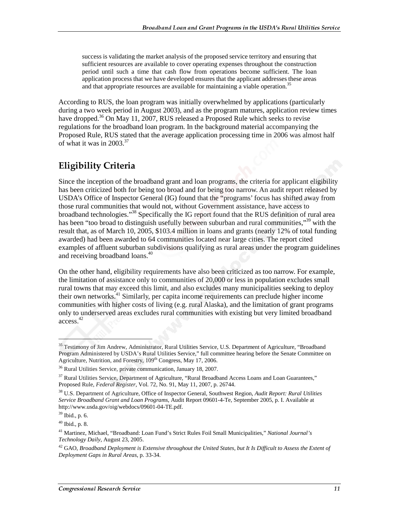success is validating the market analysis of the proposed service territory and ensuring that sufficient resources are available to cover operating expenses throughout the construction period until such a time that cash flow from operations become sufficient. The loan application process that we have developed ensures that the applicant addresses these areas and that appropriate resources are available for maintaining a viable operation.<sup>35</sup>

According to RUS, the loan program was initially overwhelmed by applications (particularly during a two week period in August 2003), and as the program matures, application review times have dropped.<sup>36</sup> On May 11, 2007, RUS released a Proposed Rule which seeks to revise regulations for the broadband loan program. In the background material accompanying the Proposed Rule, RUS stated that the average application processing time in 2006 was almost half of what it was in  $2003^{37}$ 

#### **Eligibility Criteria**

Since the inception of the broadband grant and loan programs, the criteria for applicant eligibility has been criticized both for being too broad and for being too narrow. An audit report released by USDA's Office of Inspector General (IG) found that the "programs' focus has shifted away from those rural communities that would not, without Government assistance, have access to broadband technologies.<sup>338</sup> Specifically the IG report found that the RUS definition of rural area has been "too broad to distinguish usefully between suburban and rural communities,"<sup>39</sup> with the result that, as of March 10, 2005, \$103.4 million in loans and grants (nearly 12% of total funding awarded) had been awarded to 64 communities located near large cities. The report cited examples of affluent suburban subdivisions qualifying as rural areas under the program guidelines and receiving broadband loans.<sup>40</sup>

On the other hand, eligibility requirements have also been criticized as too narrow. For example, the limitation of assistance only to communities of 20,000 or less in population excludes small rural towns that may exceed this limit, and also excludes many municipalities seeking to deploy their own networks.<sup>41</sup> Similarly, per capita income requirements can preclude higher income communities with higher costs of living (e.g. rural Alaska), and the limitation of grant programs only to underserved areas excludes rural communities with existing but very limited broadband access.42

1

<sup>&</sup>lt;sup>35</sup> Testimony of Jim Andrew, Administrator, Rural Utilities Service, U.S. Department of Agriculture, "Broadband Program Administered by USDA's Rural Utilities Service," full committee hearing before the Senate Committee on Agriculture, Nutrition, and Forestry, 109<sup>th</sup> Congress, May 17, 2006.

<sup>&</sup>lt;sup>36</sup> Rural Utilities Service, private communication, January 18, 2007.

<sup>&</sup>lt;sup>37</sup> Rural Utilities Service, Department of Agriculture, "Rural Broadband Access Loans and Loan Guarantees," Proposed Rule, *Federal Register*, Vol. 72, No. 91, May 11, 2007, p. 26744.

<sup>38</sup> U.S. Department of Agriculture, Office of Inspector General, Southwest Region, *Audit Report: Rural Utilities Service Broadband Grant and Loan Programs*, Audit Report 09601-4-Te, September 2005, p. I. Available at http://www.usda.gov/oig/webdocs/09601-04-TE.pdf.

 $39$  Ibid., p. 6.

 $40$  Ibid., p. 8.

<sup>41</sup> Martinez, Michael, "Broadband: Loan Fund's Strict Rules Foil Small Municipalities," *National Journal's Technology Daily*, August 23, 2005.

<sup>42</sup> GAO, *Broadband Deployment is Extensive throughout the United States, but It Is Difficult to Assess the Extent of Deployment Gaps in Rural Areas*, p. 33-34.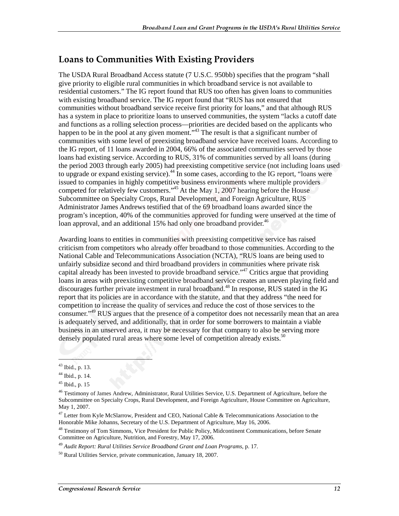#### **Loans to Communities With Existing Providers**

The USDA Rural Broadband Access statute (7 U.S.C. 950bb) specifies that the program "shall give priority to eligible rural communities in which broadband service is not available to residential customers." The IG report found that RUS too often has given loans to communities with existing broadband service. The IG report found that "RUS has not ensured that communities without broadband service receive first priority for loans," and that although RUS has a system in place to prioritize loans to unserved communities, the system "lacks a cutoff date and functions as a rolling selection process—priorities are decided based on the applicants who happen to be in the pool at any given moment."<sup>43</sup> The result is that a significant number of communities with some level of preexisting broadband service have received loans. According to the IG report, of 11 loans awarded in 2004, 66% of the associated communities served by those loans had existing service. According to RUS, 31% of communities served by all loans (during the period 2003 through early 2005) had preexisting competitive service (not including loans used to upgrade or expand existing service).<sup>44</sup> In some cases, according to the IG report, "loans were issued to companies in highly competitive business environments where multiple providers competed for relatively few customers."<sup>45</sup> At the May 1, 2007 hearing before the House Subcommittee on Specialty Crops, Rural Development, and Foreign Agriculture, RUS Administrator James Andrews testified that of the 69 broadband loans awarded since the program's inception, 40% of the communities approved for funding were unserved at the time of loan approval, and an additional 15% had only one broadband provider.<sup>46</sup>

Awarding loans to entities in communities with preexisting competitive service has raised criticism from competitors who already offer broadband to those communities. According to the National Cable and Telecommunications Association (NCTA), "RUS loans are being used to unfairly subsidize second and third broadband providers in communities where private risk capital already has been invested to provide broadband service."<sup>47</sup> Critics argue that providing loans in areas with preexisting competitive broadband service creates an uneven playing field and discourages further private investment in rural broadband.<sup>48</sup> In response, RUS stated in the IG report that its policies are in accordance with the statute, and that they address "the need for competition to increase the quality of services and reduce the cost of those services to the consumer."49 RUS argues that the presence of a competitor does not necessarily mean that an area is adequately served, and additionally, that in order for some borrowers to maintain a viable business in an unserved area, it may be necessary for that company to also be serving more densely populated rural areas where some level of competition already exists.<sup>50</sup>

1

<sup>43</sup> Ibid., p. 13.

<sup>44</sup> Ibid., p. 14.

 $45$  Ibid., p. 15

<sup>&</sup>lt;sup>46</sup> Testimony of James Andrew, Administrator, Rural Utilities Service, U.S. Department of Agriculture, before the Subcommittee on Specialty Crops, Rural Development, and Foreign Agriculture, House Committee on Agriculture, May 1, 2007.

 $47$  Letter from Kyle McSlarrow, President and CEO, National Cable & Telecommunications Association to the Honorable Mike Johanns, Secretary of the U.S. Department of Agriculture, May 16, 2006.

<sup>&</sup>lt;sup>48</sup> Testimony of Tom Simmons, Vice President for Public Policy, Midcontinent Communications, before Senate Committee on Agriculture, Nutrition, and Forestry, May 17, 2006.

<sup>49</sup> *Audit Report: Rural Utilities Service Broadband Grant and Loan Programs*, p. 17.

<sup>50</sup> Rural Utilities Service, private communication, January 18, 2007.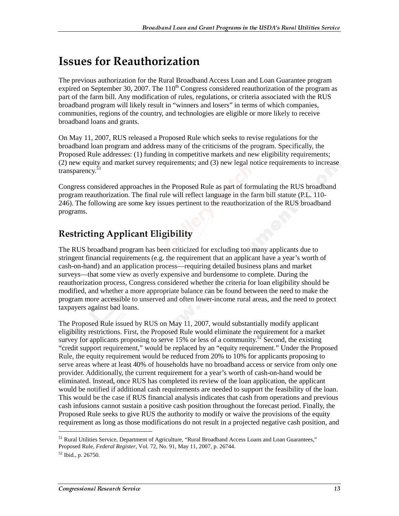## Issues for Reauthorization

The previous authorization for the Rural Broadband Access Loan and Loan Guarantee program expired on September 30, 2007. The  $110<sup>th</sup>$  Congress considered reauthorization of the program as part of the farm bill. Any modification of rules, regulations, or criteria associated with the RUS broadband program will likely result in "winners and losers" in terms of which companies, communities, regions of the country, and technologies are eligible or more likely to receive broadband loans and grants.

On May 11, 2007, RUS released a Proposed Rule which seeks to revise regulations for the broadband loan program and address many of the criticisms of the program. Specifically, the Proposed Rule addresses: (1) funding in competitive markets and new eligibility requirements; (2) new equity and market survey requirements; and (3) new legal notice requirements to increase transparency. $51$ 

Congress considered approaches in the Proposed Rule as part of formulating the RUS broadband program reauthorization. The final rule will reflect language in the farm bill statute (P.L. 110- 246). The following are some key issues pertinent to the reauthorization of the RUS broadband programs.

#### **Restricting Applicant Eligibility**

The RUS broadband program has been criticized for excluding too many applicants due to stringent financial requirements (e.g. the requirement that an applicant have a year's worth of cash-on-hand) and an application process—requiring detailed business plans and market surveys—that some view as overly expensive and burdensome to complete. During the reauthorization process, Congress considered whether the criteria for loan eligibility should be modified, and whether a more appropriate balance can be found between the need to make the program more accessible to unserved and often lower-income rural areas, and the need to protect taxpayers against bad loans.

The Proposed Rule issued by RUS on May 11, 2007, would substantially modify applicant eligibility restrictions. First, the Proposed Rule would eliminate the requirement for a market survey for applicants proposing to serve 15% or less of a community.<sup>52</sup> Second, the existing "credit support requirement," would be replaced by an "equity requirement." Under the Proposed Rule, the equity requirement would be reduced from 20% to 10% for applicants proposing to serve areas where at least 40% of households have no broadband access or service from only one provider. Additionally, the current requirement for a year's worth of cash-on-hand would be eliminated. Instead, once RUS has completed its review of the loan application, the applicant would be notified if additional cash requirements are needed to support the feasibility of the loan. This would be the case if RUS financial analysis indicates that cash from operations and previous cash infusions cannot sustain a positive cash position throughout the forecast period. Finally, the Proposed Rule seeks to give RUS the authority to modify or waive the provisions of the equity requirement as long as those modifications do not result in a projected negative cash position, and

<sup>51</sup> Rural Utilities Service, Department of Agriculture, "Rural Broadband Access Loans and Loan Guarantees," Proposed Rule, *Federal Register*, Vol. 72, No. 91, May 11, 2007, p. 26744.

<sup>52</sup> Ibid., p. 26750.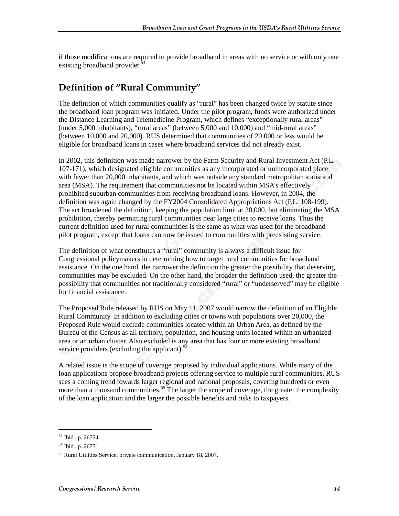if those modifications are required to provide broadband in areas with no service or with only one existing broadband provider.<sup>53</sup>

#### Definition of "Rural Community"

The definition of which communities qualify as "rural" has been changed twice by statute since the broadband loan program was initiated. Under the pilot program, funds were authorized under the Distance Learning and Telemedicine Program, which defines "exceptionally rural areas" (under 5,000 inhabitants), "rural areas" (between 5,000 and 10,000) and "mid-rural areas" (between 10,000 and 20,000). RUS determined that communities of 20,000 or less would be eligible for broadband loans in cases where broadband services did not already exist.

In 2002, this definition was made narrower by the Farm Security and Rural Investment Act (P.L. 107-171), which designated eligible communities as any incorporated or unincorporated place with fewer than 20,000 inhabitants, and which was outside any standard metropolitan statistical area (MSA). The requirement that communities not be located within MSA's effectively prohibited suburban communities from receiving broadband loans. However, in 2004, the definition was again changed by the FY2004 Consolidated Appropriations Act (P.L. 108-199). The act broadened the definition, keeping the population limit at 20,000, but eliminating the MSA prohibition, thereby permitting rural communities near large cities to receive loans. Thus the current definition used for rural communities is the same as what was used for the broadband pilot program, except that loans can now be issued to communities with preexisting service.

The definition of what constitutes a "rural" community is always a difficult issue for Congressional policymakers in determining how to target rural communities for broadband assistance. On the one hand, the narrower the definition the greater the possibility that deserving communities may be excluded. On the other hand, the broader the definition used, the greater the possibility that communities not traditionally considered "rural" or "underserved" may be eligible for financial assistance.

The Proposed Rule released by RUS on May 11, 2007 would narrow the definition of an Eligible Rural Community. In addition to excluding cities or towns with populations over 20,000, the Proposed Rule would exclude communities located within an Urban Area, as defined by the Bureau of the Census as all territory, population, and housing units located within an urbanized area or an urban cluster. Also excluded is any area that has four or more existing broadband service providers (excluding the applicant). $54$ 

A related issue is the scope of coverage proposed by individual applications. While many of the loan applications propose broadband projects offering service to multiple rural communities, RUS sees a coming trend towards larger regional and national proposals, covering hundreds or even more than a thousand communities.<sup>55</sup> The larger the scope of coverage, the greater the complexity of the loan application and the larger the possible benefits and risks to taxpayers.

<sup>53</sup> Ibid., p. 26754.

<sup>54</sup> Ibid., p. 26751.

<sup>55</sup> Rural Utilities Service, private communication, January 18, 2007.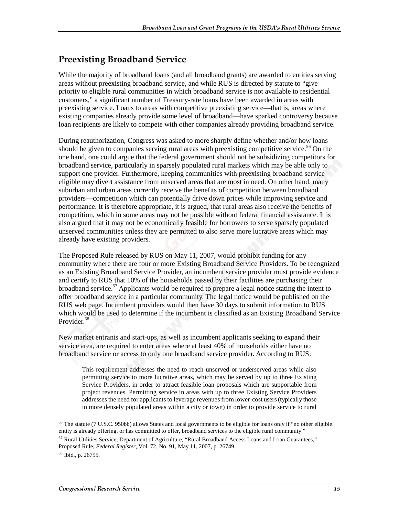#### **Preexisting Broadband Service**

While the majority of broadband loans (and all broadband grants) are awarded to entities serving areas without preexisting broadband service, and while RUS is directed by statute to "give priority to eligible rural communities in which broadband service is not available to residential customers," a significant number of Treasury-rate loans have been awarded in areas with preexisting service. Loans to areas with competitive preexisting service—that is, areas where existing companies already provide some level of broadband—have sparked controversy because loan recipients are likely to compete with other companies already providing broadband service.

During reauthorization, Congress was asked to more sharply define whether and/or how loans should be given to companies serving rural areas with preexisting competitive service.<sup>56</sup> On the one hand, one could argue that the federal government should not be subsidizing competitors for broadband service, particularly in sparsely populated rural markets which may be able only to support one provider. Furthermore, keeping communities with preexisting broadband service eligible may divert assistance from unserved areas that are most in need. On other hand, many suburban and urban areas currently receive the benefits of competition between broadband providers—competition which can potentially drive down prices while improving service and performance. It is therefore appropriate, it is argued, that rural areas also receive the benefits of competition, which in some areas may not be possible without federal financial assistance. It is also argued that it may not be economically feasible for borrowers to serve sparsely populated unserved communities unless they are permitted to also serve more lucrative areas which may already have existing providers.

The Proposed Rule released by RUS on May 11, 2007, would prohibit funding for any community where there are four or more Existing Broadband Service Providers. To be recognized as an Existing Broadband Service Provider, an incumbent service provider must provide evidence and certify to RUS that 10% of the households passed by their facilities are purchasing their broadband service.<sup>57</sup> Applicants would be required to prepare a legal notice stating the intent to offer broadband service in a particular community. The legal notice would be published on the RUS web page. Incumbent providers would then have 30 days to submit information to RUS which would be used to determine if the incumbent is classified as an Existing Broadband Service Provider.<sup>58</sup>

New market entrants and start-ups, as well as incumbent applicants seeking to expand their service area, are required to enter areas where at least 40% of households either have no broadband service or access to only one broadband service provider. According to RUS:

This requirement addresses the need to reach unserved or underserved areas while also permitting service to more lucrative areas, which may be served by up to three Existing Service Providers, in order to attract feasible loan proposals which are supportable from project revenues. Permitting service in areas with up to three Existing Service Providers addresses the need for applicants to leverage revenues from lower-cost users (typically those in more densely populated areas within a city or town) in order to provide service to rural

<sup>&</sup>lt;sup>56</sup> The statute (7 U.S.C. 950bb) allows States and local governments to be eligible for loans only if "no other eligible entity is already offering, or has committed to offer, broadband services to the eligible rural community."

<sup>57</sup> Rural Utilities Service, Department of Agriculture, "Rural Broadband Access Loans and Loan Guarantees," Proposed Rule, *Federal Register*, Vol. 72, No. 91, May 11, 2007, p. 26749.

<sup>58</sup> Ibid., p. 26755.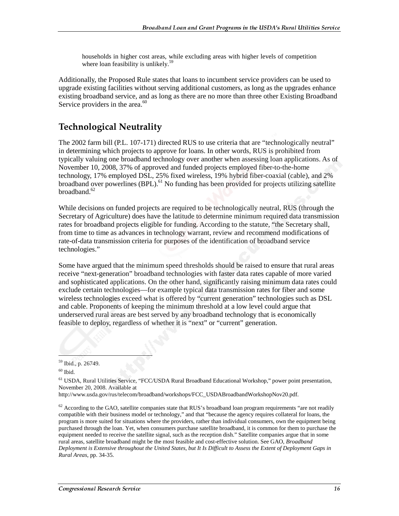households in higher cost areas, while excluding areas with higher levels of competition where loan feasibility is unlikely.<sup>59</sup>

Additionally, the Proposed Rule states that loans to incumbent service providers can be used to upgrade existing facilities without serving additional customers, as long as the upgrades enhance existing broadband service, and as long as there are no more than three other Existing Broadband Service providers in the area.<sup>60</sup>

#### **Technological Neutrality**

The 2002 farm bill (P.L. 107-171) directed RUS to use criteria that are "technologically neutral" in determining which projects to approve for loans. In other words, RUS is prohibited from typically valuing one broadband technology over another when assessing loan applications. As of November 10, 2008, 37% of approved and funded projects employed fiber-to-the-home technology, 17% employed DSL, 25% fixed wireless, 19% hybrid fiber-coaxial (cable), and 2% broadband over powerlines (BPL).<sup>61</sup> No funding has been provided for projects utilizing satellite  $broadband.<sup>62</sup>$ 

While decisions on funded projects are required to be technologically neutral, RUS (through the Secretary of Agriculture) does have the latitude to determine minimum required data transmission rates for broadband projects eligible for funding. According to the statute, "the Secretary shall, from time to time as advances in technology warrant, review and recommend modifications of rate-of-data transmission criteria for purposes of the identification of broadband service technologies."

Some have argued that the minimum speed thresholds should be raised to ensure that rural areas receive "next-generation" broadband technologies with faster data rates capable of more varied and sophisticated applications. On the other hand, significantly raising minimum data rates could exclude certain technologies—for example typical data transmission rates for fiber and some wireless technologies exceed what is offered by "current generation" technologies such as DSL and cable. Proponents of keeping the minimum threshold at a low level could argue that underserved rural areas are best served by any broadband technology that is economically feasible to deploy, regardless of whether it is "next" or "current" generation.

 $\overline{a}$ 

61 USDA, Rural Utilities Service, "FCC/USDA Rural Broadband Educational Workshop," power point presentation, November 20, 2008. Available at

 $62$  According to the GAO, satellite companies state that RUS's broadband loan program requirements "are not readily compatible with their business model or technology," and that "because the agency requires collateral for loans, the program is more suited for situations where the providers, rather than individual consumers, own the equipment being purchased through the loan. Yet, when consumers purchase satellite broadband, it is common for them to purchase the equipment needed to receive the satellite signal, such as the reception dish." Satellite companies argue that in some rural areas, satellite broadband might be the most feasible and cost-effective solution. See GAO, *Broadband Deployment is Extensive throughout the United States, but It Is Difficult to Assess the Extent of Deployment Gaps in Rural Areas*, pp. 34-35.

<sup>59</sup> Ibid., p. 26749.

 $\,$   $^{60}$  Ibid.

http://www.usda.gov/rus/telecom/broadband/workshops/FCC\_USDABroadbandWorkshopNov20.pdf.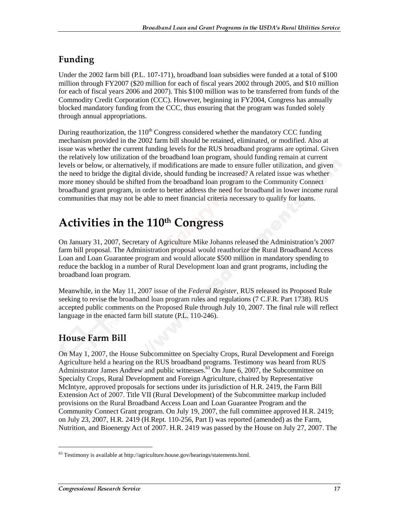#### Funding

Under the 2002 farm bill (P.L. 107-171), broadband loan subsidies were funded at a total of \$100 million through FY2007 (\$20 million for each of fiscal years 2002 through 2005, and \$10 million for each of fiscal years 2006 and 2007). This \$100 million was to be transferred from funds of the Commodity Credit Corporation (CCC). However, beginning in FY2004, Congress has annually blocked mandatory funding from the CCC, thus ensuring that the program was funded solely through annual appropriations.

During reauthorization, the  $110<sup>th</sup>$  Congress considered whether the mandatory CCC funding mechanism provided in the 2002 farm bill should be retained, eliminated, or modified. Also at issue was whether the current funding levels for the RUS broadband programs are optimal. Given the relatively low utilization of the broadband loan program, should funding remain at current levels or below, or alternatively, if modifications are made to ensure fuller utilization, and given the need to bridge the digital divide, should funding be increased? A related issue was whether more money should be shifted from the broadband loan program to the Community Connect broadband grant program, in order to better address the need for broadband in lower income rural communities that may not be able to meet financial criteria necessary to qualify for loans.

## Activities in the 110<sup>th</sup> Congress

On January 31, 2007, Secretary of Agriculture Mike Johanns released the Administration's 2007 farm bill proposal. The Administration proposal would reauthorize the Rural Broadband Access Loan and Loan Guarantee program and would allocate \$500 million in mandatory spending to reduce the backlog in a number of Rural Development loan and grant programs, including the broadband loan program.

Meanwhile, in the May 11, 2007 issue of the *Federal Register*, RUS released its Proposed Rule seeking to revise the broadband loan program rules and regulations (7 C.F.R. Part 1738). RUS accepted public comments on the Proposed Rule through July 10, 2007. The final rule will reflect language in the enacted farm bill statute (P.L. 110-246).

#### **House Farm Bill**

On May 1, 2007, the House Subcommittee on Specialty Crops, Rural Development and Foreign Agriculture held a hearing on the RUS broadband programs. Testimony was heard from RUS Administrator James Andrew and public witnesses.<sup>63</sup> On June 6, 2007, the Subcommittee on Specialty Crops, Rural Development and Foreign Agriculture, chaired by Representative McIntyre, approved proposals for sections under its jurisdiction of H.R. 2419, the Farm Bill Extension Act of 2007. Title VII (Rural Development) of the Subcommittee markup included provisions on the Rural Broadband Access Loan and Loan Guarantee Program and the Community Connect Grant program. On July 19, 2007, the full committee approved H.R. 2419; on July 23, 2007, H.R. 2419 (H.Rept. 110-256, Part I) was reported (amended) as the Farm, Nutrition, and Bioenergy Act of 2007. H.R. 2419 was passed by the House on July 27, 2007. The

<sup>63</sup> Testimony is available at http://agriculture.house.gov/hearings/statements.html.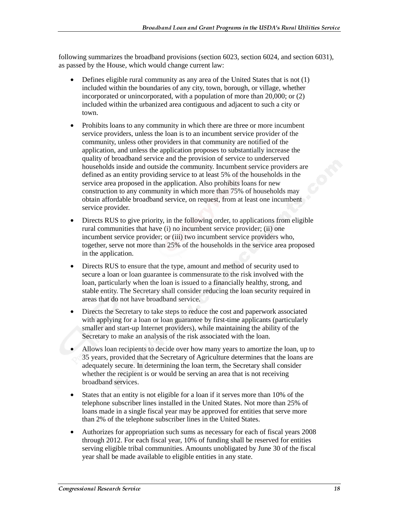following summarizes the broadband provisions (section 6023, section 6024, and section 6031), as passed by the House, which would change current law:

- Defines eligible rural community as any area of the United States that is not (1) included within the boundaries of any city, town, borough, or village, whether incorporated or unincorporated, with a population of more than 20,000; or (2) included within the urbanized area contiguous and adjacent to such a city or town.
- Prohibits loans to any community in which there are three or more incumbent service providers, unless the loan is to an incumbent service provider of the community, unless other providers in that community are notified of the application, and unless the application proposes to substantially increase the quality of broadband service and the provision of service to underserved households inside and outside the community. Incumbent service providers are defined as an entity providing service to at least 5% of the households in the service area proposed in the application. Also prohibits loans for new construction to any community in which more than 75% of households may obtain affordable broadband service, on request, from at least one incumbent service provider.
- Directs RUS to give priority, in the following order, to applications from eligible rural communities that have (i) no incumbent service provider; (ii) one incumbent service provider; or (iii) two incumbent service providers who, together, serve not more than 25% of the households in the service area proposed in the application.
- Directs RUS to ensure that the type, amount and method of security used to secure a loan or loan guarantee is commensurate to the risk involved with the loan, particularly when the loan is issued to a financially healthy, strong, and stable entity. The Secretary shall consider reducing the loan security required in areas that do not have broadband service.
- Directs the Secretary to take steps to reduce the cost and paperwork associated with applying for a loan or loan guarantee by first-time applicants (particularly smaller and start-up Internet providers), while maintaining the ability of the Secretary to make an analysis of the risk associated with the loan.
- Allows loan recipients to decide over how many years to amortize the loan, up to 35 years, provided that the Secretary of Agriculture determines that the loans are adequately secure. In determining the loan term, the Secretary shall consider whether the recipient is or would be serving an area that is not receiving broadband services.
- States that an entity is not eligible for a loan if it serves more than 10% of the telephone subscriber lines installed in the United States. Not more than 25% of loans made in a single fiscal year may be approved for entities that serve more than 2% of the telephone subscriber lines in the United States.
- Authorizes for appropriation such sums as necessary for each of fiscal years 2008 through 2012. For each fiscal year, 10% of funding shall be reserved for entities serving eligible tribal communities. Amounts unobligated by June 30 of the fiscal year shall be made available to eligible entities in any state.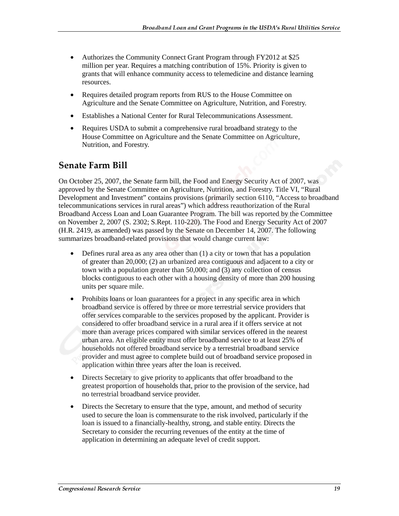- Authorizes the Community Connect Grant Program through FY2012 at \$25 million per year. Requires a matching contribution of 15%. Priority is given to grants that will enhance community access to telemedicine and distance learning resources.
- Requires detailed program reports from RUS to the House Committee on Agriculture and the Senate Committee on Agriculture, Nutrition, and Forestry.
- Establishes a National Center for Rural Telecommunications Assessment.
- Requires USDA to submit a comprehensive rural broadband strategy to the House Committee on Agriculture and the Senate Committee on Agriculture, Nutrition, and Forestry.

#### Senate Farm Bill

On October 25, 2007, the Senate farm bill, the Food and Energy Security Act of 2007, was approved by the Senate Committee on Agriculture, Nutrition, and Forestry. Title VI, "Rural Development and Investment" contains provisions (primarily section 6110, "Access to broadband telecommunications services in rural areas") which address reauthorization of the Rural Broadband Access Loan and Loan Guarantee Program. The bill was reported by the Committee on November 2, 2007 (S. 2302; S.Rept. 110-220). The Food and Energy Security Act of 2007 (H.R. 2419, as amended) was passed by the Senate on December 14, 2007. The following summarizes broadband-related provisions that would change current law:

- Defines rural area as any area other than (1) a city or town that has a population of greater than 20,000; (2) an urbanized area contiguous and adjacent to a city or town with a population greater than 50,000; and (3) any collection of census blocks contiguous to each other with a housing density of more than 200 housing units per square mile.
- Prohibits loans or loan guarantees for a project in any specific area in which broadband service is offered by three or more terrestrial service providers that offer services comparable to the services proposed by the applicant. Provider is considered to offer broadband service in a rural area if it offers service at not more than average prices compared with similar services offered in the nearest urban area. An eligible entity must offer broadband service to at least 25% of households not offered broadband service by a terrestrial broadband service provider and must agree to complete build out of broadband service proposed in application within three years after the loan is received.
- Directs Secretary to give priority to applicants that offer broadband to the greatest proportion of households that, prior to the provision of the service, had no terrestrial broadband service provider.
- Directs the Secretary to ensure that the type, amount, and method of security used to secure the loan is commensurate to the risk involved, particularly if the loan is issued to a financially-healthy, strong, and stable entity. Directs the Secretary to consider the recurring revenues of the entity at the time of application in determining an adequate level of credit support.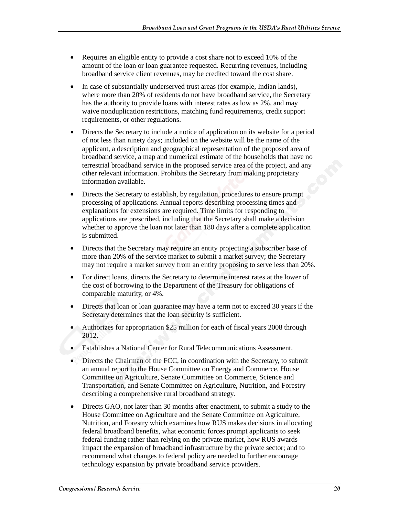- Requires an eligible entity to provide a cost share not to exceed 10% of the amount of the loan or loan guarantee requested. Recurring revenues, including broadband service client revenues, may be credited toward the cost share.
- In case of substantially underserved trust areas (for example, Indian lands), where more than 20% of residents do not have broadband service, the Secretary has the authority to provide loans with interest rates as low as 2%, and may waive nonduplication restrictions, matching fund requirements, credit support requirements, or other regulations.
- Directs the Secretary to include a notice of application on its website for a period of not less than ninety days; included on the website will be the name of the applicant, a description and geographical representation of the proposed area of broadband service, a map and numerical estimate of the households that have no terrestrial broadband service in the proposed service area of the project, and any other relevant information. Prohibits the Secretary from making proprietary information available.
- Directs the Secretary to establish, by regulation, procedures to ensure prompt processing of applications. Annual reports describing processing times and explanations for extensions are required. Time limits for responding to applications are prescribed, including that the Secretary shall make a decision whether to approve the loan not later than 180 days after a complete application is submitted.
- Directs that the Secretary may require an entity projecting a subscriber base of more than 20% of the service market to submit a market survey; the Secretary may not require a market survey from an entity proposing to serve less than 20%.
- For direct loans, directs the Secretary to determine interest rates at the lower of the cost of borrowing to the Department of the Treasury for obligations of comparable maturity, or 4%.
- Directs that loan or loan guarantee may have a term not to exceed 30 years if the Secretary determines that the loan security is sufficient.
- Authorizes for appropriation \$25 million for each of fiscal years 2008 through 2012.
- Establishes a National Center for Rural Telecommunications Assessment.
- Directs the Chairman of the FCC, in coordination with the Secretary, to submit an annual report to the House Committee on Energy and Commerce, House Committee on Agriculture, Senate Committee on Commerce, Science and Transportation, and Senate Committee on Agriculture, Nutrition, and Forestry describing a comprehensive rural broadband strategy.
- Directs GAO, not later than 30 months after enactment, to submit a study to the House Committee on Agriculture and the Senate Committee on Agriculture, Nutrition, and Forestry which examines how RUS makes decisions in allocating federal broadband benefits, what economic forces prompt applicants to seek federal funding rather than relying on the private market, how RUS awards impact the expansion of broadband infrastructure by the private sector; and to recommend what changes to federal policy are needed to further encourage technology expansion by private broadband service providers.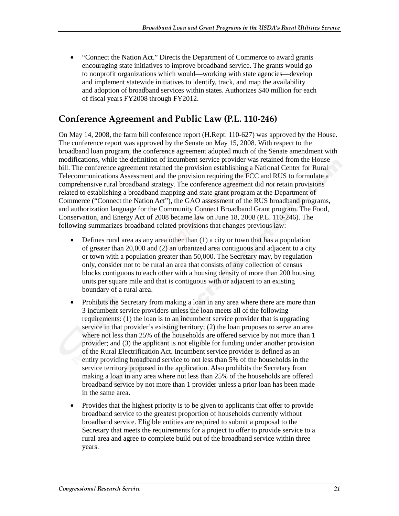• "Connect the Nation Act." Directs the Department of Commerce to award grants encouraging state initiatives to improve broadband service. The grants would go to nonprofit organizations which would—working with state agencies—develop and implement statewide initiatives to identify, track, and map the availability and adoption of broadband services within states. Authorizes \$40 million for each of fiscal years FY2008 through FY2012.

#### Conference Agreement and Public Law (P.L. 110-246)

On May 14, 2008, the farm bill conference report (H.Rept. 110-627) was approved by the House. The conference report was approved by the Senate on May 15, 2008. With respect to the broadband loan program, the conference agreement adopted much of the Senate amendment with modifications, while the definition of incumbent service provider was retained from the House bill. The conference agreement retained the provision establishing a National Center for Rural Telecommunications Assessment and the provision requiring the FCC and RUS to formulate a comprehensive rural broadband strategy. The conference agreement did *not* retain provisions related to establishing a broadband mapping and state grant program at the Department of Commerce ("Connect the Nation Act"), the GAO assessment of the RUS broadband programs, and authorization language for the Community Connect Broadband Grant program. The Food, Conservation, and Energy Act of 2008 became law on June 18, 2008 (P.L. 110-246). The following summarizes broadband-related provisions that changes previous law:

- Defines rural area as any area other than (1) a city or town that has a population of greater than 20,000 and (2) an urbanized area contiguous and adjacent to a city or town with a population greater than 50,000. The Secretary may, by regulation only, consider not to be rural an area that consists of any collection of census blocks contiguous to each other with a housing density of more than 200 housing units per square mile and that is contiguous with or adjacent to an existing boundary of a rural area.
- Prohibits the Secretary from making a loan in any area where there are more than 3 incumbent service providers unless the loan meets all of the following requirements: (1) the loan is to an incumbent service provider that is upgrading service in that provider's existing territory; (2) the loan proposes to serve an area where not less than 25% of the households are offered service by not more than 1 provider; and (3) the applicant is not eligible for funding under another provision of the Rural Electrification Act. Incumbent service provider is defined as an entity providing broadband service to not less than 5% of the households in the service territory proposed in the application. Also prohibits the Secretary from making a loan in any area where not less than 25% of the households are offered broadband service by not more than 1 provider unless a prior loan has been made in the same area.
- Provides that the highest priority is to be given to applicants that offer to provide broadband service to the greatest proportion of households currently without broadband service. Eligible entities are required to submit a proposal to the Secretary that meets the requirements for a project to offer to provide service to a rural area and agree to complete build out of the broadband service within three years.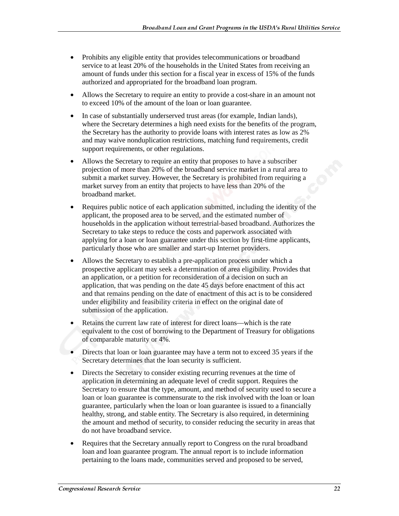- Prohibits any eligible entity that provides telecommunications or broadband service to at least 20% of the households in the United States from receiving an amount of funds under this section for a fiscal year in excess of 15% of the funds authorized and appropriated for the broadband loan program.
- Allows the Secretary to require an entity to provide a cost-share in an amount not to exceed 10% of the amount of the loan or loan guarantee.
- In case of substantially underserved trust areas (for example, Indian lands), where the Secretary determines a high need exists for the benefits of the program, the Secretary has the authority to provide loans with interest rates as low as 2% and may waive nonduplication restrictions, matching fund requirements, credit support requirements, or other regulations.
- Allows the Secretary to require an entity that proposes to have a subscriber projection of more than 20% of the broadband service market in a rural area to submit a market survey. However, the Secretary is prohibited from requiring a market survey from an entity that projects to have less than 20% of the broadband market.
- Requires public notice of each application submitted, including the identity of the applicant, the proposed area to be served, and the estimated number of households in the application without terrestrial-based broadband. Authorizes the Secretary to take steps to reduce the costs and paperwork associated with applying for a loan or loan guarantee under this section by first-time applicants, particularly those who are smaller and start-up Internet providers.
- Allows the Secretary to establish a pre-application process under which a prospective applicant may seek a determination of area eligibility. Provides that an application, or a petition for reconsideration of a decision on such an application, that was pending on the date 45 days before enactment of this act and that remains pending on the date of enactment of this act is to be considered under eligibility and feasibility criteria in effect on the original date of submission of the application.
- Retains the current law rate of interest for direct loans—which is the rate equivalent to the cost of borrowing to the Department of Treasury for obligations of comparable maturity or 4%.
- Directs that loan or loan guarantee may have a term not to exceed 35 years if the Secretary determines that the loan security is sufficient.
- Directs the Secretary to consider existing recurring revenues at the time of application in determining an adequate level of credit support. Requires the Secretary to ensure that the type, amount, and method of security used to secure a loan or loan guarantee is commensurate to the risk involved with the loan or loan guarantee, particularly when the loan or loan guarantee is issued to a financially healthy, strong, and stable entity. The Secretary is also required, in determining the amount and method of security, to consider reducing the security in areas that do not have broadband service.
- Requires that the Secretary annually report to Congress on the rural broadband loan and loan guarantee program. The annual report is to include information pertaining to the loans made, communities served and proposed to be served,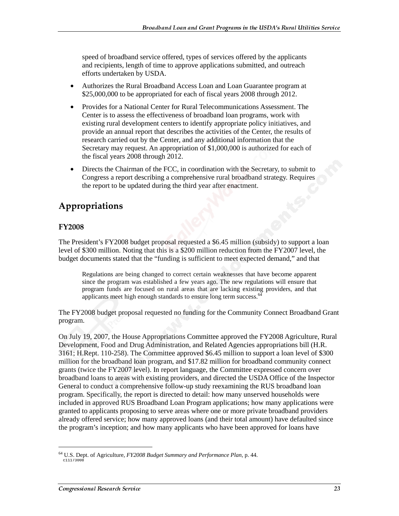speed of broadband service offered, types of services offered by the applicants and recipients, length of time to approve applications submitted, and outreach efforts undertaken by USDA.

- Authorizes the Rural Broadband Access Loan and Loan Guarantee program at \$25,000,000 to be appropriated for each of fiscal years 2008 through 2012.
- Provides for a National Center for Rural Telecommunications Assessment. The Center is to assess the effectiveness of broadband loan programs, work with existing rural development centers to identify appropriate policy initiatives, and provide an annual report that describes the activities of the Center, the results of research carried out by the Center, and any additional information that the Secretary may request. An appropriation of \$1,000,000 is authorized for each of the fiscal years 2008 through 2012.
- Directs the Chairman of the FCC, in coordination with the Secretary, to submit to Congress a report describing a comprehensive rural broadband strategy. Requires the report to be updated during the third year after enactment.

#### Appropriations

#### **FY2008**

The President's FY2008 budget proposal requested a \$6.45 million (subsidy) to support a loan level of \$300 million. Noting that this is a \$200 million reduction from the FY2007 level, the budget documents stated that the "funding is sufficient to meet expected demand," and that

Regulations are being changed to correct certain weaknesses that have become apparent since the program was established a few years ago. The new regulations will ensure that program funds are focused on rural areas that are lacking existing providers, and that applicants meet high enough standards to ensure long term success.<sup>1</sup>

The FY2008 budget proposal requested no funding for the Community Connect Broadband Grant program.

On July 19, 2007, the House Appropriations Committee approved the FY2008 Agriculture, Rural Development, Food and Drug Administration, and Related Agencies appropriations bill (H.R. 3161; H.Rept. 110-258). The Committee approved \$6.45 million to support a loan level of \$300 million for the broadband loan program, and \$17.82 million for broadband community connect grants (twice the FY2007 level). In report language, the Committee expressed concern over broadband loans to areas with existing providers, and directed the USDA Office of the Inspector General to conduct a comprehensive follow-up study reexamining the RUS broadband loan program. Specifically, the report is directed to detail: how many unserved households were included in approved RUS Broadband Loan Program applications; how many applications were granted to applicants proposing to serve areas where one or more private broadband providers already offered service; how many approved loans (and their total amount) have defaulted since the program's inception; and how many applicants who have been approved for loans have

<sup>&</sup>lt;sup>64</sup> U.S. Dept. of Agriculture, *FY2008 Budget Summary and Performance Plan*, p. 44.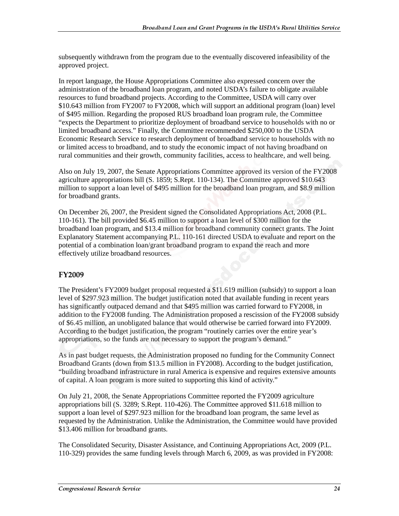subsequently withdrawn from the program due to the eventually discovered infeasibility of the approved project.

In report language, the House Appropriations Committee also expressed concern over the administration of the broadband loan program, and noted USDA's failure to obligate available resources to fund broadband projects. According to the Committee, USDA will carry over \$10.643 million from FY2007 to FY2008, which will support an additional program (loan) level of \$495 million. Regarding the proposed RUS broadband loan program rule, the Committee "expects the Department to prioritize deployment of broadband service to households with no or limited broadband access." Finally, the Committee recommended \$250,000 to the USDA Economic Research Service to research deployment of broadband service to households with no or limited access to broadband, and to study the economic impact of not having broadband on rural communities and their growth, community facilities, access to healthcare, and well being.

Also on July 19, 2007, the Senate Appropriations Committee approved its version of the FY2008 agriculture appropriations bill (S. 1859; S.Rept. 110-134). The Committee approved \$10.643 million to support a loan level of \$495 million for the broadband loan program, and \$8.9 million for broadband grants.

On December 26, 2007, the President signed the Consolidated Appropriations Act, 2008 (P.L. 110-161). The bill provided \$6.45 million to support a loan level of \$300 million for the broadband loan program, and \$13.4 million for broadband community connect grants. The Joint Explanatory Statement accompanying P.L. 110-161 directed USDA to evaluate and report on the potential of a combination loan/grant broadband program to expand the reach and more effectively utilize broadband resources.

#### FY2009

The President's FY2009 budget proposal requested a \$11.619 million (subsidy) to support a loan level of \$297.923 million. The budget justification noted that available funding in recent years has significantly outpaced demand and that \$495 million was carried forward to FY2008, in addition to the FY2008 funding. The Administration proposed a rescission of the FY2008 subsidy of \$6.45 million, an unobligated balance that would otherwise be carried forward into FY2009. According to the budget justification, the program "routinely carries over the entire year's appropriations, so the funds are not necessary to support the program's demand."

As in past budget requests, the Administration proposed no funding for the Community Connect Broadband Grants (down from \$13.5 million in FY2008). According to the budget justification, "building broadband infrastructure in rural America is expensive and requires extensive amounts of capital. A loan program is more suited to supporting this kind of activity."

On July 21, 2008, the Senate Appropriations Committee reported the FY2009 agriculture appropriations bill (S. 3289; S.Rept. 110-426). The Committee approved \$11.618 million to support a loan level of \$297.923 million for the broadband loan program, the same level as requested by the Administration. Unlike the Administration, the Committee would have provided \$13.406 million for broadband grants.

The Consolidated Security, Disaster Assistance, and Continuing Appropriations Act, 2009 (P.L. 110-329) provides the same funding levels through March 6, 2009, as was provided in FY2008: